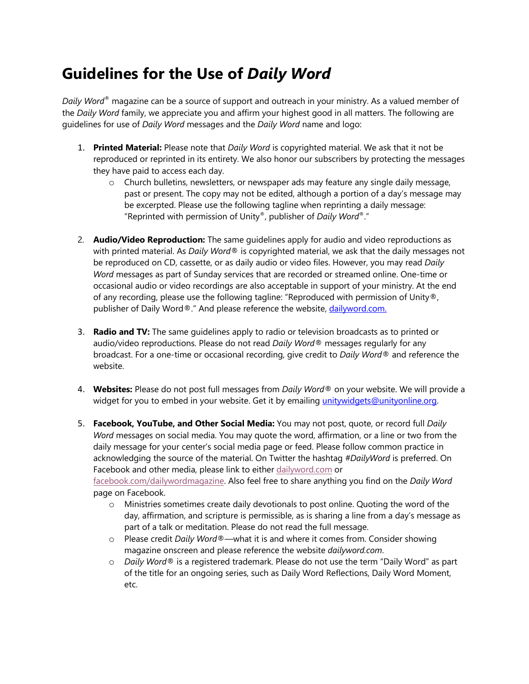## **Guidelines for the Use of** *Daily Word*

*Daily Word*® magazine can be a source of support and outreach in your ministry. As a valued member of the *Daily Word* family, we appreciate you and affirm your highest good in all matters. The following are guidelines for use of *Daily Word* messages and the *Daily Word* name and logo:

- 1. **Printed Material:** Please note that *Daily Word* is copyrighted material. We ask that it not be reproduced or reprinted in its entirety. We also honor our subscribers by protecting the messages they have paid to access each day.
	- o Church bulletins, newsletters, or newspaper ads may feature any single daily message, past or present. The copy may not be edited, although a portion of a day's message may be excerpted. Please use the following tagline when reprinting a daily message: "Reprinted with permission of Unity®, publisher of *Daily Word*®."
- 2. **Audio/Video Reproduction:** The same guidelines apply for audio and video reproductions as with printed material. As *Daily Word*® is copyrighted material, we ask that the daily messages not be reproduced on CD, cassette, or as daily audio or video files. However, you may read *Daily Word* messages as part of Sunday services that are recorded or streamed online. One-time or occasional audio or video recordings are also acceptable in support of your ministry. At the end of any recording, please use the following tagline: "Reproduced with permission of Unity®, publisher of Daily Word®." And please reference the website, dailyword.com.
- 3. **Radio and TV:** The same guidelines apply to radio or television broadcasts as to printed or audio/video reproductions. Please do not read *Daily Word*® messages regularly for any broadcast. For a one-time or occasional recording, give credit to *Daily Word*® and reference the website.
- 4. **Websites:** Please do not post full messages from *Daily Word*® on your website. We will provide a widget for you to embed in your website. Get it by emailing unitywidgets@unityonline.org.
- 5. **Facebook, YouTube, and Other Social Media:** You may not post, quote, or record full *Daily Word* messages on social media. You may quote the word, affirmation, or a line or two from the daily message for your center's social media page or feed. Please follow common practice in acknowledging the source of the material. On Twitter the hashtag *#DailyWord* is preferred. On Facebook and other media, please link to either dailyword.com or facebook.com/dailywordmagazine. Also feel free to share anything you find on the *Daily Word* page on Facebook.
	- o Ministries sometimes create daily devotionals to post online. Quoting the word of the day, affirmation, and scripture is permissible, as is sharing a line from a day's message as part of a talk or meditation. Please do not read the full message.
	- o Please credit *Daily Word*®—what it is and where it comes from. Consider showing magazine onscreen and please reference the website *dailyword.com*.
	- o *Daily Word*® is a registered trademark. Please do not use the term "Daily Word" as part of the title for an ongoing series, such as Daily Word Reflections, Daily Word Moment, etc.